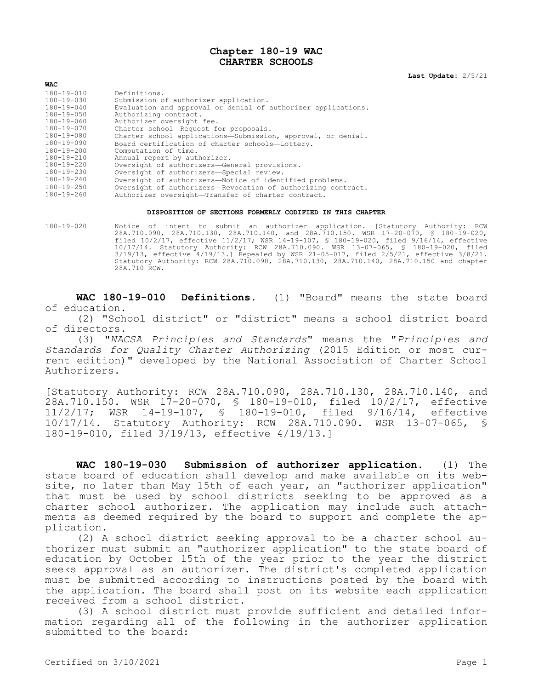## **Chapter 180-19 WAC CHARTER SCHOOLS**

**Last Update:** 2/5/21

| <b>WAC</b>       |                                                               |
|------------------|---------------------------------------------------------------|
| $180 - 19 - 010$ | Definitions.                                                  |
| $180 - 19 - 030$ | Submission of authorizer application.                         |
| $180 - 19 - 040$ | Evaluation and approval or denial of authorizer applications. |
| $180 - 19 - 050$ | Authorizing contract.                                         |
| 180-19-060       | Authorizer oversight fee.                                     |
| $180 - 19 - 070$ | Charter school-Request for proposals.                         |
| $180 - 19 - 080$ | Charter school applications-Submission, approval, or denial.  |
| $180 - 19 - 090$ | Board certification of charter schools-Lottery.               |
| $180 - 19 - 200$ | Computation of time.                                          |
| $180 - 19 - 210$ | Annual report by authorizer.                                  |
| 180-19-220       | Oversight of authorizers-General provisions.                  |
| $180 - 19 - 230$ | Oversight of authorizers-Special review.                      |
| $180 - 19 - 240$ | Oversight of authorizers-Notice of identified problems.       |
| $180 - 19 - 250$ | Oversight of authorizers-Revocation of authorizing contract.  |
| $180 - 19 - 260$ | Authorizer oversight-Transfer of charter contract.            |

## **DISPOSITION OF SECTIONS FORMERLY CODIFIED IN THIS CHAPTER**

180-19-020 Notice of intent to submit an authorizer application. [Statutory Authority: RCW 28A.710.090, 28A.710.130, 28A.710.140, and 28A.710.150. WSR 17-20-070, § 180-19-020, filed 10/2/17, effective 11/2/17; WSR 14-19-107, § 180-19-020, filed 9/16/14, effective 10/17/14. Statutory Authority: RCW 28A.710.090. WSR 13-07-065, § 180-19-020, filed 3/19/13, effective 4/19/13.] Repealed by WSR 21-05-017, filed 2/5/21, effective 3/8/21. Statutory Authority: RCW 28A.710.090, 28A.710.130, 28A.710.140, 28A.710.150 and chapter 28A.710 RCW.

**WAC 180-19-010 Definitions.** (1) "Board" means the state board of education.

(2) "School district" or "district" means a school district board of directors.

(3) "*NACSA Principles and Standards*" means the "*Principles and Standards for Quality Charter Authorizing* (2015 Edition or most current edition)" developed by the National Association of Charter School Authorizers.

[Statutory Authority: RCW 28A.710.090, 28A.710.130, 28A.710.140, and 28A.710.150. WSR 17-20-070, § 180-19-010, filed 10/2/17, effective 11/2/17; WSR 14-19-107, § 180-19-010, filed 9/16/14, effective 10/17/14. Statutory Authority: RCW 28A.710.090. WSR 13-07-065, § 180-19-010, filed 3/19/13, effective 4/19/13.]

**WAC 180-19-030 Submission of authorizer application.** (1) The state board of education shall develop and make available on its website, no later than May 15th of each year, an "authorizer application" that must be used by school districts seeking to be approved as a charter school authorizer. The application may include such attachments as deemed required by the board to support and complete the application.

(2) A school district seeking approval to be a charter school authorizer must submit an "authorizer application" to the state board of education by October 15th of the year prior to the year the district seeks approval as an authorizer. The district's completed application must be submitted according to instructions posted by the board with the application. The board shall post on its website each application received from a school district.

(3) A school district must provide sufficient and detailed information regarding all of the following in the authorizer application submitted to the board: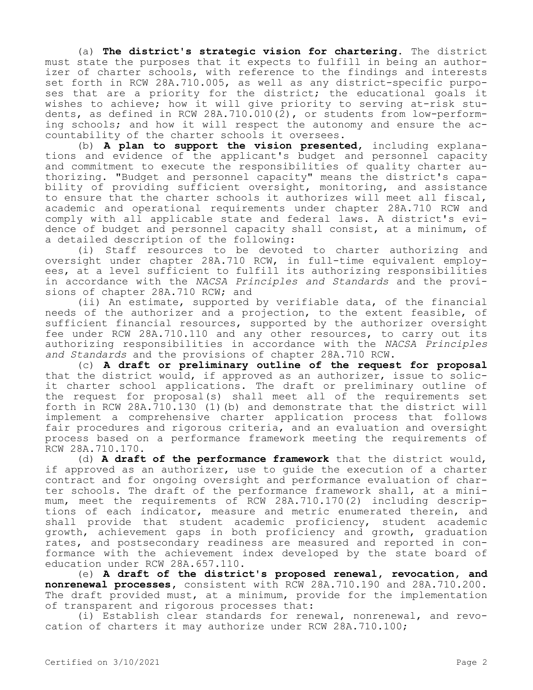(a) **The district's strategic vision for chartering.** The district must state the purposes that it expects to fulfill in being an authorizer of charter schools, with reference to the findings and interests set forth in RCW 28A.710.005, as well as any district-specific purposes that are a priority for the district; the educational goals it wishes to achieve; how it will give priority to serving at-risk students, as defined in RCW 28A.710.010(2), or students from low-performing schools; and how it will respect the autonomy and ensure the accountability of the charter schools it oversees.

(b) **A plan to support the vision presented,** including explanations and evidence of the applicant's budget and personnel capacity and commitment to execute the responsibilities of quality charter authorizing. "Budget and personnel capacity" means the district's capability of providing sufficient oversight, monitoring, and assistance to ensure that the charter schools it authorizes will meet all fiscal, academic and operational requirements under chapter 28A.710 RCW and comply with all applicable state and federal laws. A district's evidence of budget and personnel capacity shall consist, at a minimum, of a detailed description of the following:

(i) Staff resources to be devoted to charter authorizing and oversight under chapter 28A.710 RCW, in full-time equivalent employees, at a level sufficient to fulfill its authorizing responsibilities in accordance with the *NACSA Principles and Standards* and the provisions of chapter 28A.710 RCW; and

(ii) An estimate, supported by verifiable data, of the financial needs of the authorizer and a projection, to the extent feasible, of sufficient financial resources, supported by the authorizer oversight fee under RCW 28A.710.110 and any other resources, to carry out its authorizing responsibilities in accordance with the *NACSA Principles and Standards* and the provisions of chapter 28A.710 RCW.

(c) **A draft or preliminary outline of the request for proposal**  that the district would, if approved as an authorizer, issue to solicit charter school applications. The draft or preliminary outline of the request for proposal(s) shall meet all of the requirements set forth in RCW 28A.710.130 (1)(b) and demonstrate that the district will implement a comprehensive charter application process that follows fair procedures and rigorous criteria, and an evaluation and oversight process based on a performance framework meeting the requirements of RCW 28A.710.170.

(d) **A draft of the performance framework** that the district would, if approved as an authorizer, use to guide the execution of a charter contract and for ongoing oversight and performance evaluation of charter schools. The draft of the performance framework shall, at a minimum, meet the requirements of RCW 28A.710.170(2) including descriptions of each indicator, measure and metric enumerated therein, and shall provide that student academic proficiency, student academic growth, achievement gaps in both proficiency and growth, graduation rates, and postsecondary readiness are measured and reported in conformance with the achievement index developed by the state board of education under RCW 28A.657.110.

(e) **A draft of the district's proposed renewal, revocation, and nonrenewal processes,** consistent with RCW 28A.710.190 and 28A.710.200. The draft provided must, at a minimum, provide for the implementation of transparent and rigorous processes that:

(i) Establish clear standards for renewal, nonrenewal, and revocation of charters it may authorize under RCW 28A.710.100;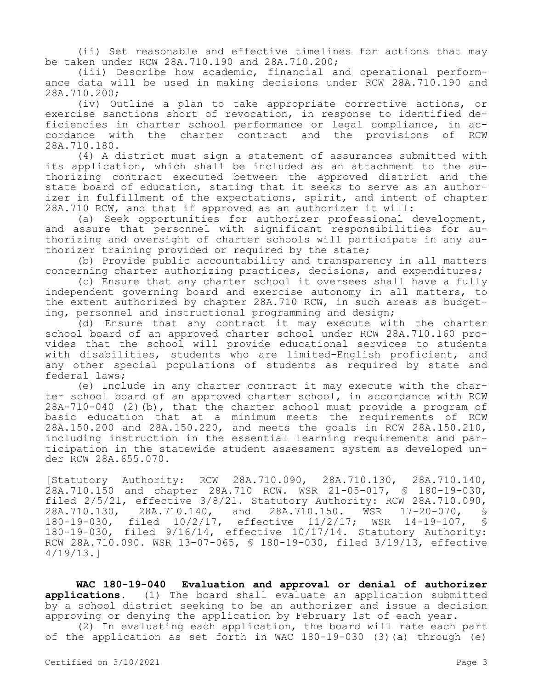(ii) Set reasonable and effective timelines for actions that may be taken under RCW 28A.710.190 and 28A.710.200;

(iii) Describe how academic, financial and operational performance data will be used in making decisions under RCW 28A.710.190 and 28A.710.200;

(iv) Outline a plan to take appropriate corrective actions, or exercise sanctions short of revocation, in response to identified deficiencies in charter school performance or legal compliance, in accordance with the charter contract and the provisions of RCW 28A.710.180.

(4) A district must sign a statement of assurances submitted with its application, which shall be included as an attachment to the authorizing contract executed between the approved district and the state board of education, stating that it seeks to serve as an authorizer in fulfillment of the expectations, spirit, and intent of chapter 28A.710 RCW, and that if approved as an authorizer it will:

(a) Seek opportunities for authorizer professional development, and assure that personnel with significant responsibilities for authorizing and oversight of charter schools will participate in any authorizer training provided or required by the state;

(b) Provide public accountability and transparency in all matters concerning charter authorizing practices, decisions, and expenditures;

(c) Ensure that any charter school it oversees shall have a fully independent governing board and exercise autonomy in all matters, to the extent authorized by chapter 28A.710 RCW, in such areas as budgeting, personnel and instructional programming and design;

(d) Ensure that any contract it may execute with the charter school board of an approved charter school under RCW 28A.710.160 provides that the school will provide educational services to students with disabilities, students who are limited-English proficient, and any other special populations of students as required by state and federal laws;

(e) Include in any charter contract it may execute with the charter school board of an approved charter school, in accordance with RCW 28A-710-040 (2)(b), that the charter school must provide a program of basic education that at a minimum meets the requirements of RCW 28A.150.200 and 28A.150.220, and meets the goals in RCW 28A.150.210, including instruction in the essential learning requirements and participation in the statewide student assessment system as developed under RCW 28A.655.070.

[Statutory Authority: RCW 28A.710.090, 28A.710.130, 28A.710.140, 28A.710.150 and chapter 28A.710 RCW. WSR 21-05-017, § 180-19-030, filed 2/5/21, effective 3/8/21. Statutory Authority: RCW 28A.710.090,<br>28A.710.130, 28A.710.140, and 28A.710.150. WSR 17-20-070, § 28A.710.130, 28A.710.140, and 28A.710.150. WSR 17-20-070, § 180-19-030, filed 10/2/17, effective 11/2/17; WSR 14-19-107, 180-19-030, filed 9/16/14, effective 10/17/14. Statutory Authority: RCW 28A.710.090. WSR 13-07-065, § 180-19-030, filed 3/19/13, effective 4/19/13.]

**WAC 180-19-040 Evaluation and approval or denial of authorizer applications.** (1) The board shall evaluate an application submitted by a school district seeking to be an authorizer and issue a decision approving or denying the application by February 1st of each year.

(2) In evaluating each application, the board will rate each part of the application as set forth in WAC  $180-19-030$  (3)(a) through (e)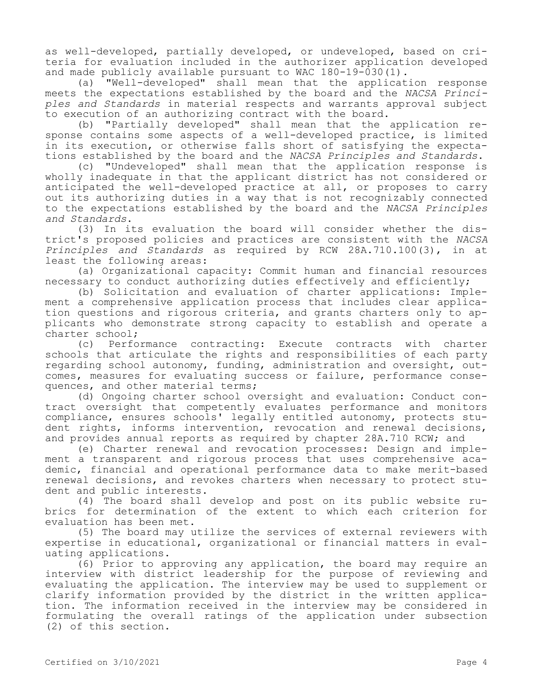as well-developed, partially developed, or undeveloped, based on criteria for evaluation included in the authorizer application developed and made publicly available pursuant to WAC 180-19-030(1).

(a) "Well-developed" shall mean that the application response meets the expectations established by the board and the *NACSA Principles and Standards* in material respects and warrants approval subject to execution of an authorizing contract with the board.

(b) "Partially developed" shall mean that the application response contains some aspects of a well-developed practice, is limited in its execution, or otherwise falls short of satisfying the expectations established by the board and the *NACSA Principles and Standards*.

(c) "Undeveloped" shall mean that the application response is wholly inadequate in that the applicant district has not considered or anticipated the well-developed practice at all, or proposes to carry out its authorizing duties in a way that is not recognizably connected to the expectations established by the board and the *NACSA Principles and Standards*.

(3) In its evaluation the board will consider whether the district's proposed policies and practices are consistent with the *NACSA Principles and Standards* as required by RCW 28A.710.100(3), in at least the following areas:

(a) Organizational capacity: Commit human and financial resources necessary to conduct authorizing duties effectively and efficiently;

(b) Solicitation and evaluation of charter applications: Implement a comprehensive application process that includes clear application questions and rigorous criteria, and grants charters only to applicants who demonstrate strong capacity to establish and operate a charter school;

(c) Performance contracting: Execute contracts with charter schools that articulate the rights and responsibilities of each party regarding school autonomy, funding, administration and oversight, outcomes, measures for evaluating success or failure, performance consequences, and other material terms;

(d) Ongoing charter school oversight and evaluation: Conduct contract oversight that competently evaluates performance and monitors compliance, ensures schools' legally entitled autonomy, protects student rights, informs intervention, revocation and renewal decisions, and provides annual reports as required by chapter 28A.710 RCW; and

(e) Charter renewal and revocation processes: Design and implement a transparent and rigorous process that uses comprehensive academic, financial and operational performance data to make merit-based renewal decisions, and revokes charters when necessary to protect student and public interests.

(4) The board shall develop and post on its public website rubrics for determination of the extent to which each criterion for evaluation has been met.

(5) The board may utilize the services of external reviewers with expertise in educational, organizational or financial matters in evaluating applications.

(6) Prior to approving any application, the board may require an interview with district leadership for the purpose of reviewing and evaluating the application. The interview may be used to supplement or clarify information provided by the district in the written application. The information received in the interview may be considered in formulating the overall ratings of the application under subsection (2) of this section.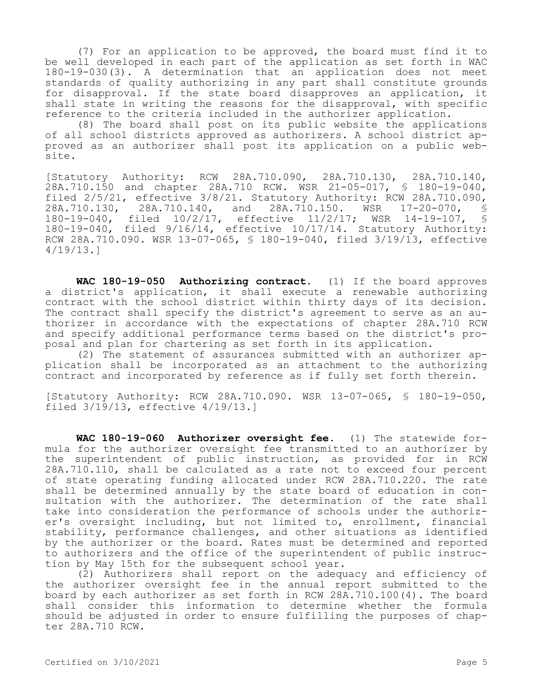(7) For an application to be approved, the board must find it to be well developed in each part of the application as set forth in WAC 180-19-030(3). A determination that an application does not meet standards of quality authorizing in any part shall constitute grounds for disapproval. If the state board disapproves an application, it shall state in writing the reasons for the disapproval, with specific reference to the criteria included in the authorizer application.

(8) The board shall post on its public website the applications of all school districts approved as authorizers. A school district approved as an authorizer shall post its application on a public website.

[Statutory Authority: RCW 28A.710.090, 28A.710.130, 28A.710.140, 28A.710.150 and chapter 28A.710 RCW. WSR 21-05-017, § 180-19-040, filed 2/5/21, effective 3/8/21. Statutory Authority: RCW 28A.710.090, 28A.710.130, 28A.710.140, and 28A.710.150. WSR 17-20-070, § 180-19-040, filed 10/2/17, effective 11/2/17; WSR 14-19-107, § 180-19-040, filed 9/16/14, effective 10/17/14. Statutory Authority: RCW 28A.710.090. WSR 13-07-065, § 180-19-040, filed 3/19/13, effective 4/19/13.]

**WAC 180-19-050 Authorizing contract.** (1) If the board approves a district's application, it shall execute a renewable authorizing contract with the school district within thirty days of its decision. The contract shall specify the district's agreement to serve as an authorizer in accordance with the expectations of chapter 28A.710 RCW and specify additional performance terms based on the district's proposal and plan for chartering as set forth in its application.

(2) The statement of assurances submitted with an authorizer application shall be incorporated as an attachment to the authorizing contract and incorporated by reference as if fully set forth therein.

[Statutory Authority: RCW 28A.710.090. WSR 13-07-065, § 180-19-050, filed 3/19/13, effective 4/19/13.]

**WAC 180-19-060 Authorizer oversight fee.** (1) The statewide formula for the authorizer oversight fee transmitted to an authorizer by the superintendent of public instruction, as provided for in RCW 28A.710.110, shall be calculated as a rate not to exceed four percent of state operating funding allocated under RCW 28A.710.220. The rate shall be determined annually by the state board of education in consultation with the authorizer. The determination of the rate shall take into consideration the performance of schools under the authorizer's oversight including, but not limited to, enrollment, financial stability, performance challenges, and other situations as identified by the authorizer or the board. Rates must be determined and reported to authorizers and the office of the superintendent of public instruction by May 15th for the subsequent school year.

(2) Authorizers shall report on the adequacy and efficiency of the authorizer oversight fee in the annual report submitted to the board by each authorizer as set forth in RCW 28A.710.100(4). The board shall consider this information to determine whether the formula should be adjusted in order to ensure fulfilling the purposes of chapter 28A.710 RCW.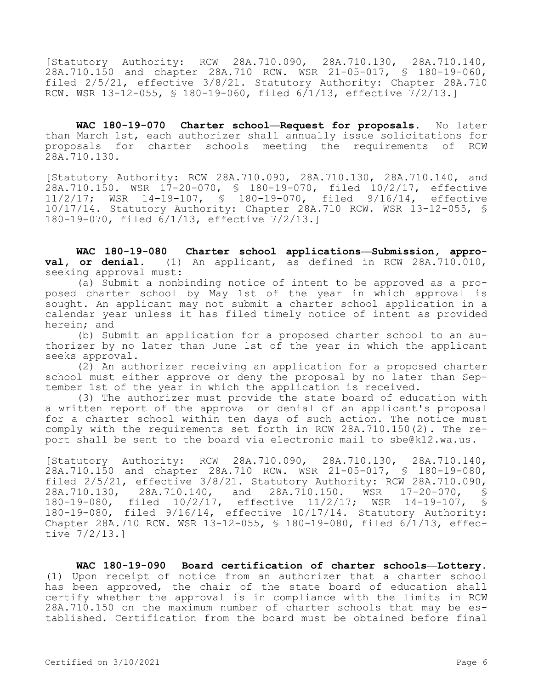[Statutory Authority: RCW 28A.710.090, 28A.710.130, 28A.710.140, 28A.710.150 and chapter 28A.710 RCW. WSR 21-05-017, § 180-19-060, filed 2/5/21, effective 3/8/21. Statutory Authority: Chapter 28A.710 RCW. WSR 13-12-055, § 180-19-060, filed 6/1/13, effective 7/2/13.]

**WAC 180-19-070 Charter school—Request for proposals.** No later than March 1st, each authorizer shall annually issue solicitations for proposals for charter schools meeting the requirements of RCW 28A.710.130.

[Statutory Authority: RCW 28A.710.090, 28A.710.130, 28A.710.140, and 28A.710.150. WSR 17-20-070, § 180-19-070, filed 10/2/17, effective 11/2/17; WSR 14-19-107, § 180-19-070, filed 9/16/14, effective 10/17/14. Statutory Authority: Chapter 28A.710 RCW. WSR 13-12-055, § 180-19-070, filed 6/1/13, effective 7/2/13.]

**WAC 180-19-080 Charter school applications—Submission, approval, or denial.** (1) An applicant, as defined in RCW 28A.710.010, seeking approval must:

(a) Submit a nonbinding notice of intent to be approved as a proposed charter school by May 1st of the year in which approval is sought. An applicant may not submit a charter school application in a calendar year unless it has filed timely notice of intent as provided herein; and

(b) Submit an application for a proposed charter school to an authorizer by no later than June 1st of the year in which the applicant seeks approval.

(2) An authorizer receiving an application for a proposed charter school must either approve or deny the proposal by no later than September 1st of the year in which the application is received.

(3) The authorizer must provide the state board of education with a written report of the approval or denial of an applicant's proposal for a charter school within ten days of such action. The notice must comply with the requirements set forth in RCW 28A.710.150(2). The report shall be sent to the board via electronic mail to sbe@k12.wa.us.

[Statutory Authority: RCW 28A.710.090, 28A.710.130, 28A.710.140, 28A.710.150 and chapter 28A.710 RCW. WSR 21-05-017, § 180-19-080, filed 2/5/21, effective 3/8/21. Statutory Authority: RCW 28A.710.090,<br>28A.710.130, 28A.710.140, and 28A.710.150. WSR 17-20-070, § 28A.710.130, 28A.710.140, and 28A.710.150. WSR 17-20-070, § 180-19-080, filed 10/2/17, effective 11/2/17; WSR 14-19-107, § 180-19-080, filed 9/16/14, effective 10/17/14. Statutory Authority: Chapter 28A.710 RCW. WSR 13-12-055, § 180-19-080, filed 6/1/13, effective 7/2/13.]

**WAC 180-19-090 Board certification of charter schools—Lottery.**  (1) Upon receipt of notice from an authorizer that a charter school has been approved, the chair of the state board of education shall certify whether the approval is in compliance with the limits in RCW 28A.710.150 on the maximum number of charter schools that may be established. Certification from the board must be obtained before final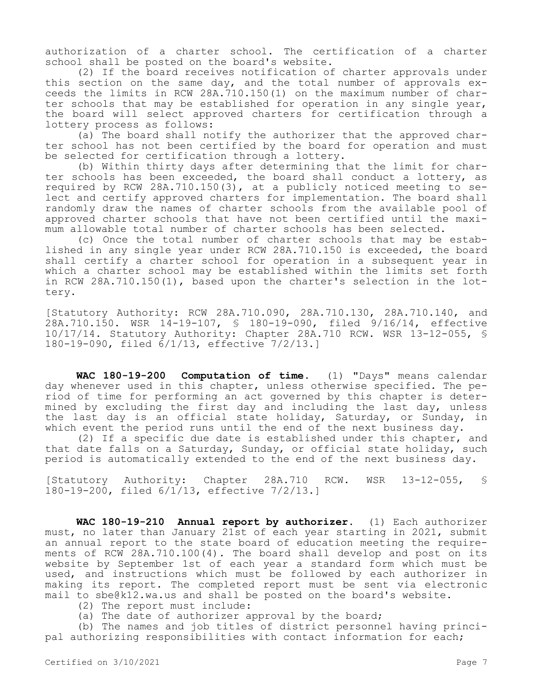authorization of a charter school. The certification of a charter school shall be posted on the board's website.

(2) If the board receives notification of charter approvals under this section on the same day, and the total number of approvals exceeds the limits in RCW 28A.710.150(1) on the maximum number of charter schools that may be established for operation in any single year, the board will select approved charters for certification through a lottery process as follows:

(a) The board shall notify the authorizer that the approved charter school has not been certified by the board for operation and must be selected for certification through a lottery.

(b) Within thirty days after determining that the limit for charter schools has been exceeded, the board shall conduct a lottery, as required by RCW 28A.710.150(3), at a publicly noticed meeting to select and certify approved charters for implementation. The board shall randomly draw the names of charter schools from the available pool of approved charter schools that have not been certified until the maximum allowable total number of charter schools has been selected.

(c) Once the total number of charter schools that may be established in any single year under RCW 28A.710.150 is exceeded, the board shall certify a charter school for operation in a subsequent year in which a charter school may be established within the limits set forth in RCW 28A.710.150(1), based upon the charter's selection in the lottery.

[Statutory Authority: RCW 28A.710.090, 28A.710.130, 28A.710.140, and 28A.710.150. WSR 14-19-107, § 180-19-090, filed 9/16/14, effective 10/17/14. Statutory Authority: Chapter 28A.710 RCW. WSR 13-12-055, § 180-19-090, filed 6/1/13, effective 7/2/13.]

**WAC 180-19-200 Computation of time.** (1) "Days" means calendar day whenever used in this chapter, unless otherwise specified. The period of time for performing an act governed by this chapter is determined by excluding the first day and including the last day, unless the last day is an official state holiday, Saturday, or Sunday, in which event the period runs until the end of the next business day.

(2) If a specific due date is established under this chapter, and that date falls on a Saturday, Sunday, or official state holiday, such period is automatically extended to the end of the next business day.

[Statutory Authority: Chapter 28A.710 RCW. WSR 13-12-055, § 180-19-200, filed 6/1/13, effective 7/2/13.]

**WAC 180-19-210 Annual report by authorizer.** (1) Each authorizer must, no later than January 21st of each year starting in 2021, submit an annual report to the state board of education meeting the requirements of RCW 28A.710.100(4). The board shall develop and post on its website by September 1st of each year a standard form which must be used, and instructions which must be followed by each authorizer in making its report. The completed report must be sent via electronic mail to sbe@k12.wa.us and shall be posted on the board's website.

- (2) The report must include:
- (a) The date of authorizer approval by the board;

(b) The names and job titles of district personnel having principal authorizing responsibilities with contact information for each;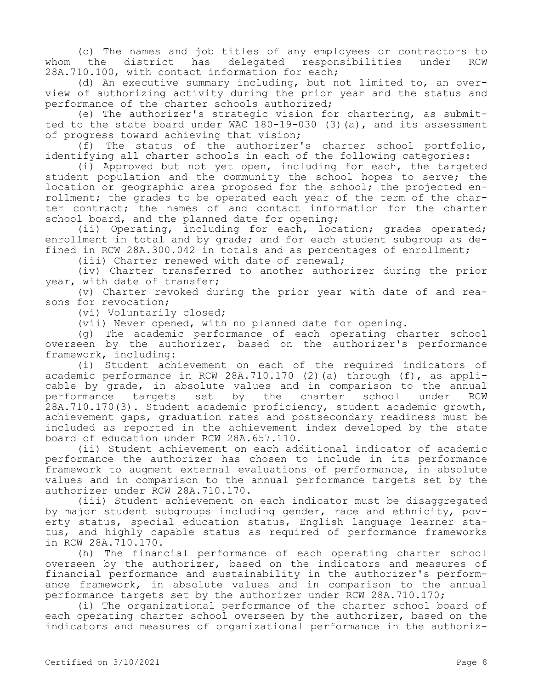(c) The names and job titles of any employees or contractors to<br>the district has delegated responsibilities under RCW whom the district has delegated responsibilities under RCW 28A.710.100, with contact information for each;

(d) An executive summary including, but not limited to, an overview of authorizing activity during the prior year and the status and performance of the charter schools authorized;

(e) The authorizer's strategic vision for chartering, as submitted to the state board under WAC 180-19-030 (3)(a), and its assessment of progress toward achieving that vision;

(f) The status of the authorizer's charter school portfolio, identifying all charter schools in each of the following categories:

(i) Approved but not yet open, including for each, the targeted student population and the community the school hopes to serve; the location or geographic area proposed for the school; the projected enrollment; the grades to be operated each year of the term of the charter contract; the names of and contact information for the charter school board, and the planned date for opening;

(ii) Operating, including for each, location; grades operated; enrollment in total and by grade; and for each student subgroup as defined in RCW 28A.300.042 in totals and as percentages of enrollment;

(iii) Charter renewed with date of renewal;

(iv) Charter transferred to another authorizer during the prior year, with date of transfer;

(v) Charter revoked during the prior year with date of and reasons for revocation;

(vi) Voluntarily closed;

(vii) Never opened, with no planned date for opening.

(g) The academic performance of each operating charter school overseen by the authorizer, based on the authorizer's performance framework, including:

(i) Student achievement on each of the required indicators of academic performance in RCW 28A.710.170 (2)(a) through (f), as applicable by grade, in absolute values and in comparison to the annual performance targets set by the charter school under RCW 28A.710.170(3). Student academic proficiency, student academic growth, achievement gaps, graduation rates and postsecondary readiness must be included as reported in the achievement index developed by the state board of education under RCW 28A.657.110.

(ii) Student achievement on each additional indicator of academic performance the authorizer has chosen to include in its performance framework to augment external evaluations of performance, in absolute values and in comparison to the annual performance targets set by the authorizer under RCW 28A.710.170.

(iii) Student achievement on each indicator must be disaggregated by major student subgroups including gender, race and ethnicity, poverty status, special education status, English language learner status, and highly capable status as required of performance frameworks in RCW 28A.710.170.

(h) The financial performance of each operating charter school overseen by the authorizer, based on the indicators and measures of financial performance and sustainability in the authorizer's performance framework, in absolute values and in comparison to the annual performance targets set by the authorizer under RCW 28A.710.170;

(i) The organizational performance of the charter school board of each operating charter school overseen by the authorizer, based on the indicators and measures of organizational performance in the authoriz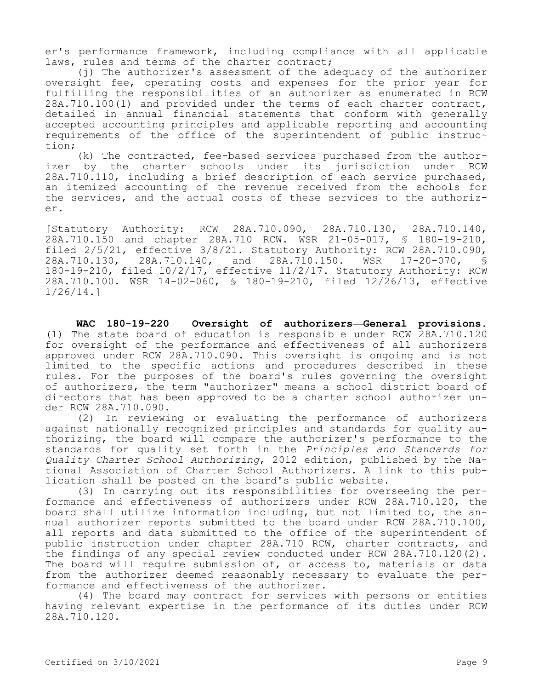er's performance framework, including compliance with all applicable laws, rules and terms of the charter contract;

(j) The authorizer's assessment of the adequacy of the authorizer oversight fee, operating costs and expenses for the prior year for fulfilling the responsibilities of an authorizer as enumerated in RCW 28A.710.100(1) and provided under the terms of each charter contract, detailed in annual financial statements that conform with generally accepted accounting principles and applicable reporting and accounting requirements of the office of the superintendent of public instruction;

(k) The contracted, fee-based services purchased from the authorizer by the charter schools under its jurisdiction under RCW 28A.710.110, including a brief description of each service purchased, an itemized accounting of the revenue received from the schools for the services, and the actual costs of these services to the authorizer.

[Statutory Authority: RCW 28A.710.090, 28A.710.130, 28A.710.140, 28A.710.150 and chapter 28A.710 RCW. WSR 21-05-017, § 180-19-210, filed 2/5/21, effective 3/8/21. Statutory Authority: RCW 28A.710.090,<br>28A.710.130. 28A.710.140. and 28A.710.150. WSR 17-20-070. \$ 28A.710.130, 28A.710.140, and 28A.710.150. WSR 17-20-070, § 180-19-210, filed 10/2/17, effective 11/2/17. Statutory Authority: RCW 28A.710.100. WSR 14-02-060, § 180-19-210, filed 12/26/13, effective 1/26/14.]

**WAC 180-19-220 Oversight of authorizers—General provisions.**  (1) The state board of education is responsible under RCW 28A.710.120 for oversight of the performance and effectiveness of all authorizers approved under RCW 28A.710.090. This oversight is ongoing and is not limited to the specific actions and procedures described in these rules. For the purposes of the board's rules governing the oversight of authorizers, the term "authorizer" means a school district board of directors that has been approved to be a charter school authorizer under RCW 28A.710.090.

(2) In reviewing or evaluating the performance of authorizers against nationally recognized principles and standards for quality authorizing, the board will compare the authorizer's performance to the standards for quality set forth in the *Principles and Standards for Quality Charter School Authorizing*, 2012 edition, published by the National Association of Charter School Authorizers. A link to this publication shall be posted on the board's public website.

(3) In carrying out its responsibilities for overseeing the performance and effectiveness of authorizers under RCW 28A.710.120, the board shall utilize information including, but not limited to, the annual authorizer reports submitted to the board under RCW 28A.710.100, all reports and data submitted to the office of the superintendent of public instruction under chapter 28A.710 RCW, charter contracts, and the findings of any special review conducted under RCW 28A.710.120(2). The board will require submission of, or access to, materials or data from the authorizer deemed reasonably necessary to evaluate the performance and effectiveness of the authorizer.

(4) The board may contract for services with persons or entities having relevant expertise in the performance of its duties under RCW 28A.710.120.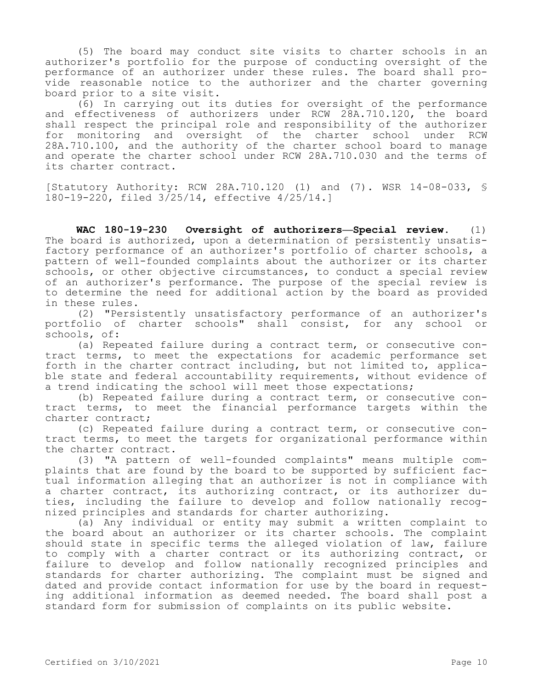(5) The board may conduct site visits to charter schools in an authorizer's portfolio for the purpose of conducting oversight of the performance of an authorizer under these rules. The board shall provide reasonable notice to the authorizer and the charter governing board prior to a site visit.

(6) In carrying out its duties for oversight of the performance and effectiveness of authorizers under RCW 28A.710.120, the board shall respect the principal role and responsibility of the authorizer for monitoring and oversight of the charter school under RCW 28A.710.100, and the authority of the charter school board to manage and operate the charter school under RCW 28A.710.030 and the terms of its charter contract.

[Statutory Authority: RCW 28A.710.120 (1) and (7). WSR 14-08-033, § 180-19-220, filed 3/25/14, effective 4/25/14.]

**WAC 180-19-230 Oversight of authorizers—Special review.** (1) The board is authorized, upon a determination of persistently unsatisfactory performance of an authorizer's portfolio of charter schools, a pattern of well-founded complaints about the authorizer or its charter schools, or other objective circumstances, to conduct a special review of an authorizer's performance. The purpose of the special review is to determine the need for additional action by the board as provided in these rules.

(2) "Persistently unsatisfactory performance of an authorizer's portfolio of charter schools" shall consist, for any school or schools, of:

(a) Repeated failure during a contract term, or consecutive contract terms, to meet the expectations for academic performance set forth in the charter contract including, but not limited to, applicable state and federal accountability requirements, without evidence of a trend indicating the school will meet those expectations;

(b) Repeated failure during a contract term, or consecutive contract terms, to meet the financial performance targets within the charter contract;

(c) Repeated failure during a contract term, or consecutive contract terms, to meet the targets for organizational performance within the charter contract.

(3) "A pattern of well-founded complaints" means multiple complaints that are found by the board to be supported by sufficient factual information alleging that an authorizer is not in compliance with a charter contract, its authorizing contract, or its authorizer duties, including the failure to develop and follow nationally recognized principles and standards for charter authorizing.

(a) Any individual or entity may submit a written complaint to the board about an authorizer or its charter schools. The complaint should state in specific terms the alleged violation of law, failure to comply with a charter contract or its authorizing contract, or failure to develop and follow nationally recognized principles and standards for charter authorizing. The complaint must be signed and dated and provide contact information for use by the board in requesting additional information as deemed needed. The board shall post a standard form for submission of complaints on its public website.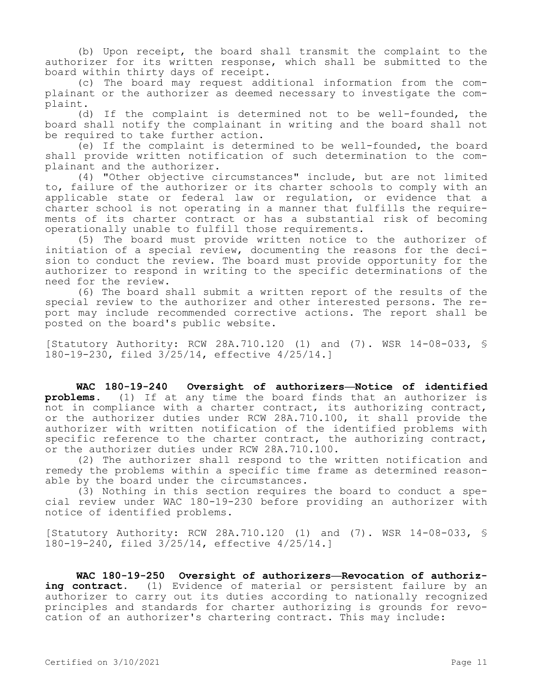(b) Upon receipt, the board shall transmit the complaint to the authorizer for its written response, which shall be submitted to the board within thirty days of receipt.

(c) The board may request additional information from the complainant or the authorizer as deemed necessary to investigate the complaint.

(d) If the complaint is determined not to be well-founded, the board shall notify the complainant in writing and the board shall not be required to take further action.

(e) If the complaint is determined to be well-founded, the board shall provide written notification of such determination to the complainant and the authorizer.

(4) "Other objective circumstances" include, but are not limited to, failure of the authorizer or its charter schools to comply with an applicable state or federal law or regulation, or evidence that a charter school is not operating in a manner that fulfills the requirements of its charter contract or has a substantial risk of becoming operationally unable to fulfill those requirements.

(5) The board must provide written notice to the authorizer of initiation of a special review, documenting the reasons for the decision to conduct the review. The board must provide opportunity for the authorizer to respond in writing to the specific determinations of the need for the review.

(6) The board shall submit a written report of the results of the special review to the authorizer and other interested persons. The report may include recommended corrective actions. The report shall be posted on the board's public website.

[Statutory Authority: RCW 28A.710.120 (1) and (7). WSR 14-08-033, § 180-19-230, filed 3/25/14, effective 4/25/14.]

**WAC 180-19-240 Oversight of authorizers—Notice of identified problems.** (1) If at any time the board finds that an authorizer is not in compliance with a charter contract, its authorizing contract, or the authorizer duties under RCW 28A.710.100, it shall provide the authorizer with written notification of the identified problems with specific reference to the charter contract, the authorizing contract, or the authorizer duties under RCW 28A.710.100.

(2) The authorizer shall respond to the written notification and remedy the problems within a specific time frame as determined reasonable by the board under the circumstances.

(3) Nothing in this section requires the board to conduct a special review under WAC 180-19-230 before providing an authorizer with notice of identified problems.

[Statutory Authority: RCW 28A.710.120 (1) and (7). WSR 14-08-033, § 180-19-240, filed 3/25/14, effective 4/25/14.]

**WAC 180-19-250 Oversight of authorizers—Revocation of authorizing contract.** (1) Evidence of material or persistent failure by an authorizer to carry out its duties according to nationally recognized principles and standards for charter authorizing is grounds for revocation of an authorizer's chartering contract. This may include: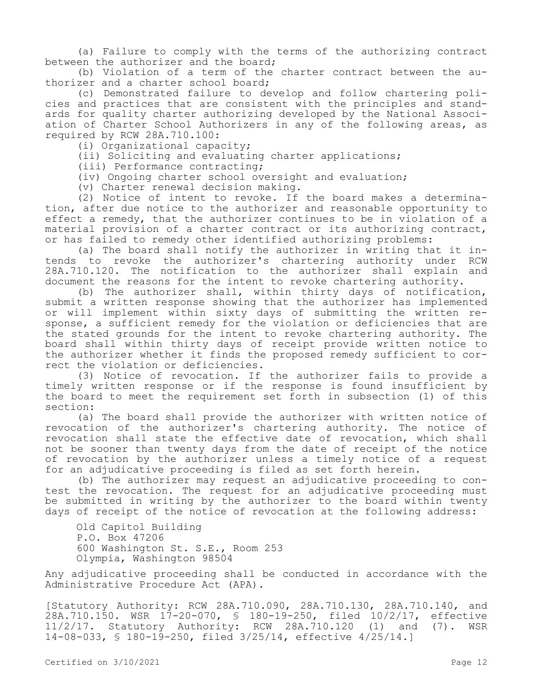(a) Failure to comply with the terms of the authorizing contract between the authorizer and the board;

(b) Violation of a term of the charter contract between the authorizer and a charter school board;

(c) Demonstrated failure to develop and follow chartering policies and practices that are consistent with the principles and standards for quality charter authorizing developed by the National Association of Charter School Authorizers in any of the following areas, as required by RCW 28A.710.100:

(i) Organizational capacity;

(ii) Soliciting and evaluating charter applications;

(iii) Performance contracting;

(iv) Ongoing charter school oversight and evaluation;

(v) Charter renewal decision making.

(2) Notice of intent to revoke. If the board makes a determination, after due notice to the authorizer and reasonable opportunity to effect a remedy, that the authorizer continues to be in violation of a material provision of a charter contract or its authorizing contract, or has failed to remedy other identified authorizing problems:

(a) The board shall notify the authorizer in writing that it intends to revoke the authorizer's chartering authority under RCW 28A.710.120. The notification to the authorizer shall explain and document the reasons for the intent to revoke chartering authority.

(b) The authorizer shall, within thirty days of notification, submit a written response showing that the authorizer has implemented or will implement within sixty days of submitting the written response, a sufficient remedy for the violation or deficiencies that are the stated grounds for the intent to revoke chartering authority. The board shall within thirty days of receipt provide written notice to the authorizer whether it finds the proposed remedy sufficient to correct the violation or deficiencies.

(3) Notice of revocation. If the authorizer fails to provide a timely written response or if the response is found insufficient by the board to meet the requirement set forth in subsection (1) of this section:

(a) The board shall provide the authorizer with written notice of revocation of the authorizer's chartering authority. The notice of revocation shall state the effective date of revocation, which shall not be sooner than twenty days from the date of receipt of the notice of revocation by the authorizer unless a timely notice of a request for an adjudicative proceeding is filed as set forth herein.

(b) The authorizer may request an adjudicative proceeding to contest the revocation. The request for an adjudicative proceeding must be submitted in writing by the authorizer to the board within twenty days of receipt of the notice of revocation at the following address:

Old Capitol Building P.O. Box 47206 600 Washington St. S.E., Room 253 Olympia, Washington 98504

Any adjudicative proceeding shall be conducted in accordance with the Administrative Procedure Act (APA).

[Statutory Authority: RCW 28A.710.090, 28A.710.130, 28A.710.140, and 28A.710.150. WSR 17-20-070, § 180-19-250, filed 10/2/17, effective 11/2/17. Statutory Authority: RCW 28A.710.120 (1) and (7). WSR 14-08-033, § 180-19-250, filed 3/25/14, effective 4/25/14.]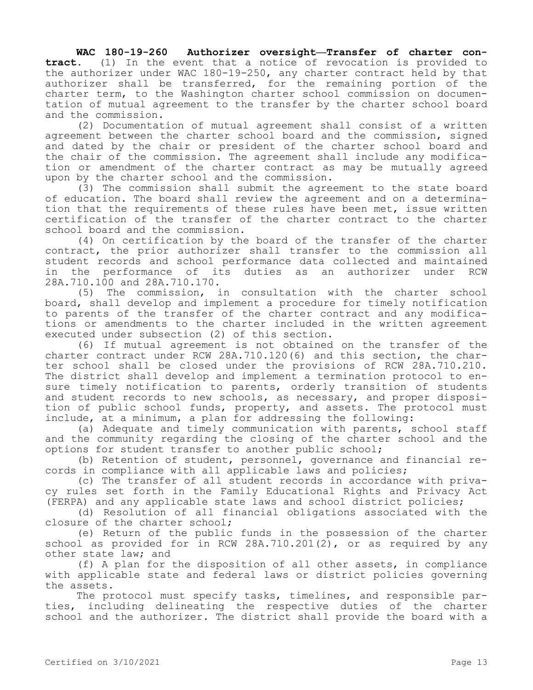**WAC 180-19-260 Authorizer oversight—Transfer of charter contract.** (1) In the event that a notice of revocation is provided to the authorizer under WAC 180-19-250, any charter contract held by that authorizer shall be transferred, for the remaining portion of the charter term, to the Washington charter school commission on documentation of mutual agreement to the transfer by the charter school board and the commission.

(2) Documentation of mutual agreement shall consist of a written agreement between the charter school board and the commission, signed and dated by the chair or president of the charter school board and the chair of the commission. The agreement shall include any modification or amendment of the charter contract as may be mutually agreed upon by the charter school and the commission.

(3) The commission shall submit the agreement to the state board of education. The board shall review the agreement and on a determination that the requirements of these rules have been met, issue written certification of the transfer of the charter contract to the charter school board and the commission.

(4) On certification by the board of the transfer of the charter contract, the prior authorizer shall transfer to the commission all student records and school performance data collected and maintained in the performance of its duties as an authorizer under RCW 28A.710.100 and 28A.710.170.

(5) The commission, in consultation with the charter school board, shall develop and implement a procedure for timely notification to parents of the transfer of the charter contract and any modifications or amendments to the charter included in the written agreement executed under subsection (2) of this section.

(6) If mutual agreement is not obtained on the transfer of the charter contract under RCW 28A.710.120(6) and this section, the charter school shall be closed under the provisions of RCW 28A.710.210. The district shall develop and implement a termination protocol to ensure timely notification to parents, orderly transition of students and student records to new schools, as necessary, and proper disposition of public school funds, property, and assets. The protocol must include, at a minimum, a plan for addressing the following:

(a) Adequate and timely communication with parents, school staff and the community regarding the closing of the charter school and the options for student transfer to another public school;

(b) Retention of student, personnel, governance and financial records in compliance with all applicable laws and policies;

(c) The transfer of all student records in accordance with privacy rules set forth in the Family Educational Rights and Privacy Act (FERPA) and any applicable state laws and school district policies;

(d) Resolution of all financial obligations associated with the closure of the charter school;

(e) Return of the public funds in the possession of the charter school as provided for in RCW 28A.710.201(2), or as required by any other state law; and

(f) A plan for the disposition of all other assets, in compliance with applicable state and federal laws or district policies governing the assets.

The protocol must specify tasks, timelines, and responsible parties, including delineating the respective duties of the charter school and the authorizer. The district shall provide the board with a